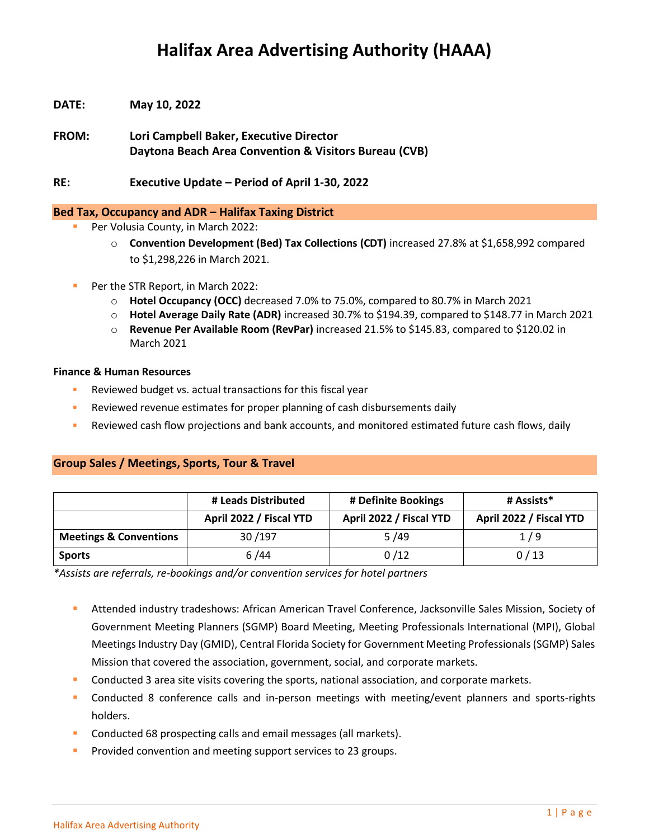# **Halifax Area Advertising Authority (HAAA)**

- **DATE: May 10, 2022**
- **FROM: Lori Campbell Baker, Executive Director Daytona Beach Area Convention & Visitors Bureau (CVB)**

**RE: Executive Update – Period of April 1-30, 2022**

#### **Bed Tax, Occupancy and ADR – Halifax Taxing District**

- Per Volusia County, in March 2022:
	- o **Convention Development (Bed) Tax Collections (CDT)** increased 27.8% at \$1,658,992 compared to \$1,298,226 in March 2021.
- Per the STR Report, in March 2022:
	- o **Hotel Occupancy (OCC)** decreased 7.0% to 75.0%, compared to 80.7% in March 2021
	- o **Hotel Average Daily Rate (ADR)** increased 30.7% to \$194.39, compared to \$148.77 in March 2021
	- o **Revenue Per Available Room (RevPar)** increased 21.5% to \$145.83, compared to \$120.02 in March 2021

#### **Finance & Human Resources**

- Reviewed budget vs. actual transactions for this fiscal year
- **EXECTED FIGHTS FOR THE PROPERT FIGHTS FOR FIGHTS FIGHTS FIGHTS FIGHTS FIGHTS FIGHTS FIGHTS FIGHTS FIGHTS FIGHTS**
- Reviewed cash flow projections and bank accounts, and monitored estimated future cash flows, daily

### **Group Sales / Meetings, Sports, Tour & Travel**

|                                   | # Leads Distributed     | # Definite Bookings     | # Assists*              |
|-----------------------------------|-------------------------|-------------------------|-------------------------|
|                                   | April 2022 / Fiscal YTD | April 2022 / Fiscal YTD | April 2022 / Fiscal YTD |
| <b>Meetings &amp; Conventions</b> | 30/197                  | 5/49                    | 1/9                     |
| <b>Sports</b>                     | 6/44                    | 0/12                    | 0/13                    |

*\*Assists are referrals, re-bookings and/or convention services for hotel partners*

- Attended industry tradeshows: African American Travel Conference, Jacksonville Sales Mission, Society of Government Meeting Planners (SGMP) Board Meeting, Meeting Professionals International (MPI), Global Meetings Industry Day (GMID), Central Florida Society for Government Meeting Professionals (SGMP) Sales Mission that covered the association, government, social, and corporate markets.
- Conducted 3 area site visits covering the sports, national association, and corporate markets.
- Conducted 8 conference calls and in-person meetings with meeting/event planners and sports-rights holders.
- Conducted 68 prospecting calls and email messages (all markets).
- **•** Provided convention and meeting support services to 23 groups.